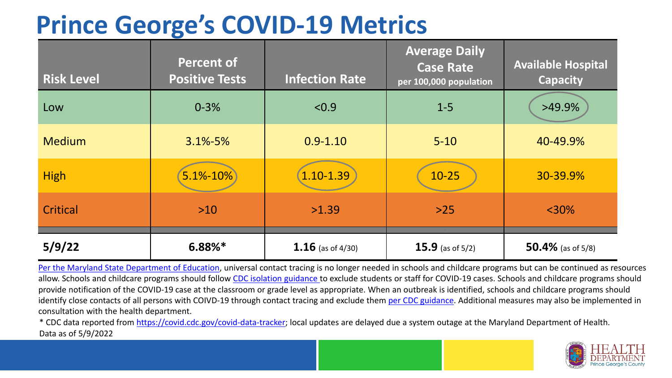### **Prince George's COVID-19 Metrics**

| <b>Risk Level</b> | <b>Percent of</b><br><b>Positive Tests</b> | <b>Infection Rate</b> | <b>Average Daily</b><br><b>Case Rate</b><br>per 100,000 population | <b>Available Hospital</b><br><b>Capacity</b> |
|-------------------|--------------------------------------------|-----------------------|--------------------------------------------------------------------|----------------------------------------------|
| Low               | $0 - 3%$                                   | < 0.9                 | $1 - 5$                                                            | >49.9%                                       |
| <b>Medium</b>     | $3.1\% - 5\%$                              | $0.9 - 1.10$          | $5 - 10$                                                           | 40-49.9%                                     |
| <b>High</b>       | $5.1% - 10%$                               | $1.10 - 1.39$         | $10-25$                                                            | 30-39.9%                                     |
| Critical          | $>10$                                      | >1.39                 | $>25$                                                              | $<$ 30%                                      |
| 5/9/22            | $6.88\%*$                                  | 1.16 (as of $4/30$ )  | 15.9 (as of $5/2$ )                                                | 50.4% (as of $5/8$ )                         |

[Per the Maryland State Department of Education,](https://earlychildhood.marylandpublicschools.org/system/files/filedepot/3/covid_guidance_full_080420.pdf) universal contact tracing is no longer needed in schools and childcare programs but can be continued as resources allow. Schools and childcare programs should follow [CDC isolation guidance t](https://www.cdc.gov/coronavirus/2019-ncov/community/schools-childcare/k-12-contact-tracing/about-isolation.html)o exclude students or staff for COVID-19 cases. Schools and childcare programs should provide notification of the COVID-19 case at the classroom or grade level as appropriate. When an outbreak is identified, schools and childcare programs should identify close contacts of all persons with COIVD-19 through contact tracing and exclude them [per CDC guidance](https://www.cdc.gov/coronavirus/2019-ncov/your-health/quarantine-isolation.html). Additional measures may also be implemented in consultation with the health department.

\* CDC data reported from [https://covid.cdc.gov/covid-data-tracker;](https://covid.cdc.gov/covid-data-tracker) local updates are delayed due a system outage at the Maryland Department of Health. Data as of 5/9/2022

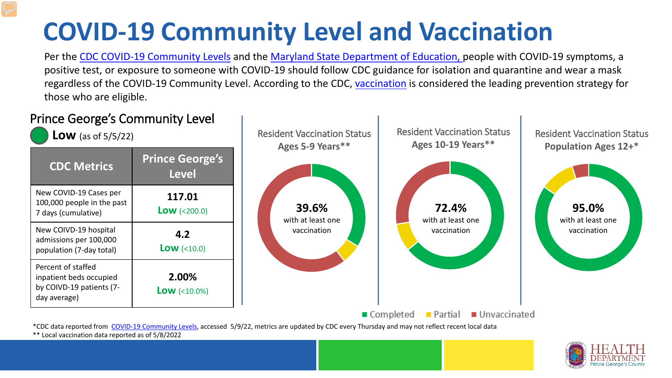# **COVID-19 Community Level and Vaccination**

Per the [CDC COVID-19 Community Levels](https://www.cdc.gov/coronavirus/2019-ncov/science/community-levels.html#anchor_82254) and the [Maryland State Department of Education,](https://earlychildhood.marylandpublicschools.org/system/files/filedepot/3/covid_guidance_full_080420.pdf) people with COVID-19 symptoms, a positive test, or exposure to someone with COVID-19 should follow CDC guidance for isolation and quarantine and wear a mask regardless of the COVID-19 Community Level. According to the CDC, [vaccination](https://www.cdc.gov/coronavirus/2019-ncov/prevent-getting-sick/prevention.html) is considered the leading prevention strategy for those who are eligible.



\*\* Local vaccination data reported as of 5/8/2022

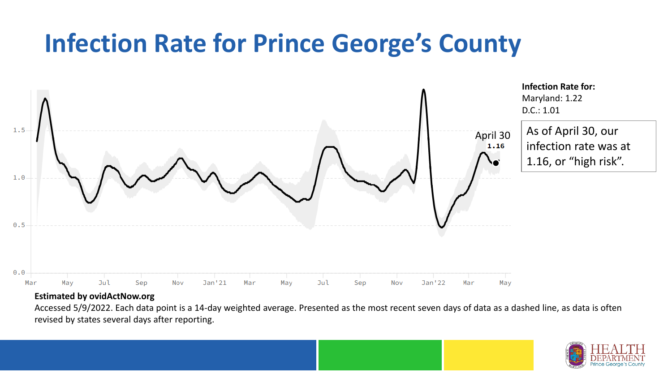### **Infection Rate for Prince George's County**



#### **Estimated by ovidActNow.org**

Accessed 5/9/2022. Each data point is a 14-day weighted average. Presented as the most recent seven days of data as a dashed line, as data is often revised by states several days after reporting.

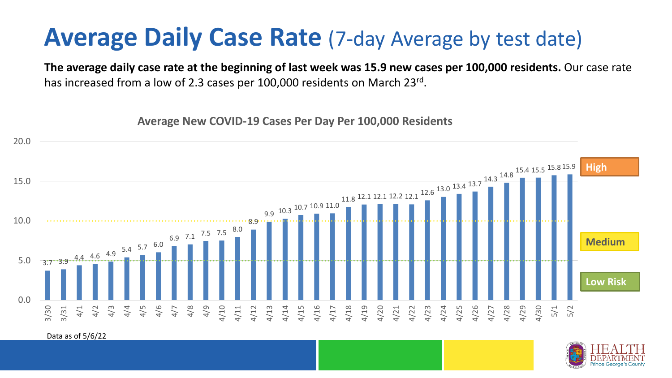### **Average Daily Case Rate** (7-day Average by test date)

**The average daily case rate at the beginning of last week was 15.9 new cases per 100,000 residents.** Our case rate has increased from a low of 2.3 cases per 100,000 residents on March 23rd.

**Average New COVID-19 Cases Per Day Per 100,000 Residents**